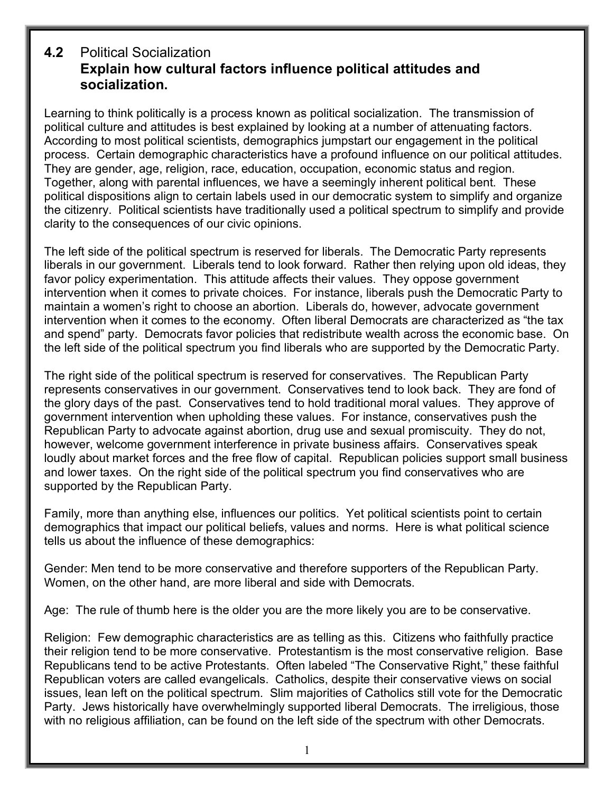## **4.2** Political Socialization **Explain how cultural factors influence political attitudes and socialization.**

Learning to think politically is a process known as political socialization. The transmission of political culture and attitudes is best explained by looking at a number of attenuating factors. According to most political scientists, demographics jumpstart our engagement in the political process. Certain demographic characteristics have a profound influence on our political attitudes. They are gender, age, religion, race, education, occupation, economic status and region. Together, along with parental influences, we have a seemingly inherent political bent. These political dispositions align to certain labels used in our democratic system to simplify and organize the citizenry. Political scientists have traditionally used a political spectrum to simplify and provide clarity to the consequences of our civic opinions.

The left side of the political spectrum is reserved for liberals. The Democratic Party represents liberals in our government. Liberals tend to look forward. Rather then relying upon old ideas, they favor policy experimentation. This attitude affects their values. They oppose government intervention when it comes to private choices. For instance, liberals push the Democratic Party to maintain a women's right to choose an abortion. Liberals do, however, advocate government intervention when it comes to the economy. Often liberal Democrats are characterized as "the tax and spend" party. Democrats favor policies that redistribute wealth across the economic base. On the left side of the political spectrum you find liberals who are supported by the Democratic Party.

The right side of the political spectrum is reserved for conservatives. The Republican Party represents conservatives in our government. Conservatives tend to look back. They are fond of the glory days of the past. Conservatives tend to hold traditional moral values. They approve of government intervention when upholding these values. For instance, conservatives push the Republican Party to advocate against abortion, drug use and sexual promiscuity. They do not, however, welcome government interference in private business affairs. Conservatives speak loudly about market forces and the free flow of capital. Republican policies support small business and lower taxes. On the right side of the political spectrum you find conservatives who are supported by the Republican Party.

Family, more than anything else, influences our politics. Yet political scientists point to certain demographics that impact our political beliefs, values and norms. Here is what political science tells us about the influence of these demographics:

Gender: Men tend to be more conservative and therefore supporters of the Republican Party. Women, on the other hand, are more liberal and side with Democrats.

Age: The rule of thumb here is the older you are the more likely you are to be conservative.

Religion: Few demographic characteristics are as telling as this. Citizens who faithfully practice their religion tend to be more conservative. Protestantism is the most conservative religion. Base Republicans tend to be active Protestants. Often labeled "The Conservative Right," these faithful Republican voters are called evangelicals. Catholics, despite their conservative views on social issues, lean left on the political spectrum. Slim majorities of Catholics still vote for the Democratic Party. Jews historically have overwhelmingly supported liberal Democrats. The irreligious, those with no religious affiliation, can be found on the left side of the spectrum with other Democrats.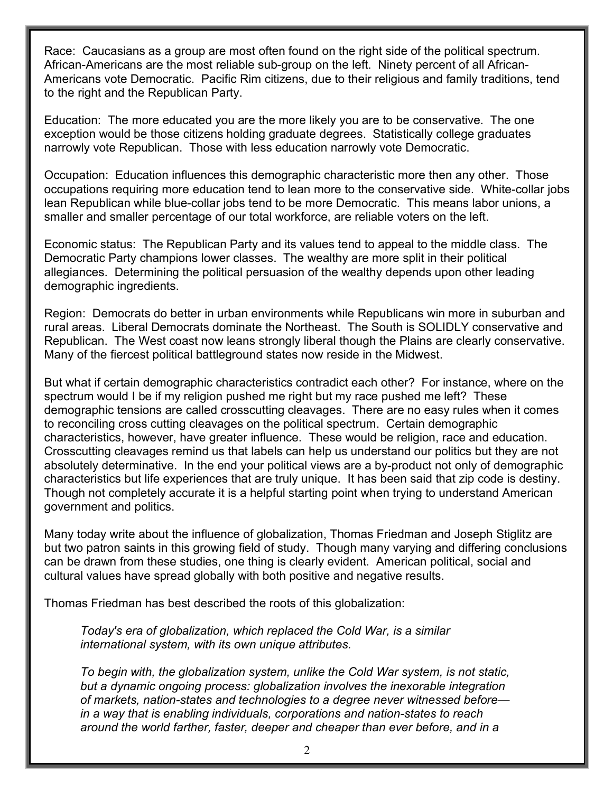Race: Caucasians as a group are most often found on the right side of the political spectrum. African-Americans are the most reliable sub-group on the left. Ninety percent of all African-Americans vote Democratic. Pacific Rim citizens, due to their religious and family traditions, tend to the right and the Republican Party.

Education: The more educated you are the more likely you are to be conservative. The one exception would be those citizens holding graduate degrees. Statistically college graduates narrowly vote Republican. Those with less education narrowly vote Democratic.

Occupation: Education influences this demographic characteristic more then any other. Those occupations requiring more education tend to lean more to the conservative side. White-collar jobs lean Republican while blue-collar jobs tend to be more Democratic. This means labor unions, a smaller and smaller percentage of our total workforce, are reliable voters on the left.

Economic status: The Republican Party and its values tend to appeal to the middle class. The Democratic Party champions lower classes. The wealthy are more split in their political allegiances. Determining the political persuasion of the wealthy depends upon other leading demographic ingredients.

Region: Democrats do better in urban environments while Republicans win more in suburban and rural areas. Liberal Democrats dominate the Northeast. The South is SOLIDLY conservative and Republican. The West coast now leans strongly liberal though the Plains are clearly conservative. Many of the fiercest political battleground states now reside in the Midwest.

But what if certain demographic characteristics contradict each other? For instance, where on the spectrum would I be if my religion pushed me right but my race pushed me left? These demographic tensions are called crosscutting cleavages. There are no easy rules when it comes to reconciling cross cutting cleavages on the political spectrum. Certain demographic characteristics, however, have greater influence. These would be religion, race and education. Crosscutting cleavages remind us that labels can help us understand our politics but they are not absolutely determinative. In the end your political views are a by-product not only of demographic characteristics but life experiences that are truly unique. It has been said that zip code is destiny. Though not completely accurate it is a helpful starting point when trying to understand American government and politics.

Many today write about the influence of globalization, Thomas Friedman and Joseph Stiglitz are but two patron saints in this growing field of study. Though many varying and differing conclusions can be drawn from these studies, one thing is clearly evident. American political, social and cultural values have spread globally with both positive and negative results.

Thomas Friedman has best described the roots of this globalization:

*Today's era of globalization, which replaced the Cold War, is a similar international system, with its own unique attributes.*

*To begin with, the globalization system, unlike the Cold War system, is not static, but a dynamic ongoing process: globalization involves the inexorable integration of markets, nation-states and technologies to a degree never witnessed before in a way that is enabling individuals, corporations and nation-states to reach around the world farther, faster, deeper and cheaper than ever before, and in a*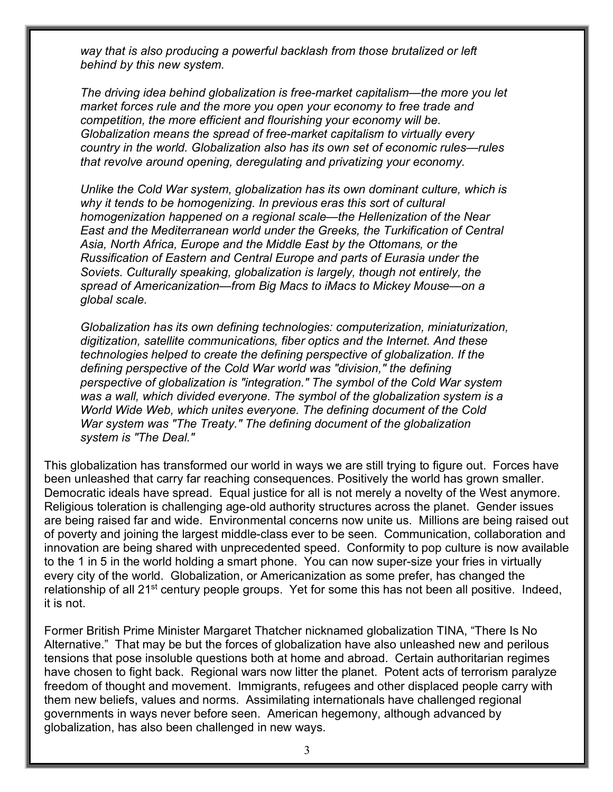*way that is also producing a powerful backlash from those brutalized or left behind by this new system.*

*The driving idea behind globalization is free-market capitalism—the more you let market forces rule and the more you open your economy to free trade and competition, the more efficient and flourishing your economy will be. Globalization means the spread of free-market capitalism to virtually every country in the world. Globalization also has its own set of economic rules—rules that revolve around opening, deregulating and privatizing your economy.*

*Unlike the Cold War system, globalization has its own dominant culture, which is why it tends to be homogenizing. In previous eras this sort of cultural homogenization happened on a regional scale—the Hellenization of the Near East and the Mediterranean world under the Greeks, the Turkification of Central Asia, North Africa, Europe and the Middle East by the Ottomans, or the Russification of Eastern and Central Europe and parts of Eurasia under the Soviets. Culturally speaking, globalization is largely, though not entirely, the spread of Americanization—from Big Macs to iMacs to Mickey Mouse—on a global scale.*

*Globalization has its own defining technologies: computerization, miniaturization, digitization, satellite communications, fiber optics and the Internet. And these technologies helped to create the defining perspective of globalization. If the defining perspective of the Cold War world was "division," the defining perspective of globalization is "integration." The symbol of the Cold War system was a wall, which divided everyone. The symbol of the globalization system is a World Wide Web, which unites everyone. The defining document of the Cold War system was "The Treaty." The defining document of the globalization system is "The Deal."*

This globalization has transformed our world in ways we are still trying to figure out. Forces have been unleashed that carry far reaching consequences. Positively the world has grown smaller. Democratic ideals have spread. Equal justice for all is not merely a novelty of the West anymore. Religious toleration is challenging age-old authority structures across the planet. Gender issues are being raised far and wide. Environmental concerns now unite us. Millions are being raised out of poverty and joining the largest middle-class ever to be seen. Communication, collaboration and innovation are being shared with unprecedented speed. Conformity to pop culture is now available to the 1 in 5 in the world holding a smart phone. You can now super-size your fries in virtually every city of the world. Globalization, or Americanization as some prefer, has changed the relationship of all 21<sup>st</sup> century people groups. Yet for some this has not been all positive. Indeed, it is not.

Former British Prime Minister Margaret Thatcher nicknamed globalization TINA, "There Is No Alternative." That may be but the forces of globalization have also unleashed new and perilous tensions that pose insoluble questions both at home and abroad. Certain authoritarian regimes have chosen to fight back. Regional wars now litter the planet. Potent acts of terrorism paralyze freedom of thought and movement. Immigrants, refugees and other displaced people carry with them new beliefs, values and norms. Assimilating internationals have challenged regional governments in ways never before seen. American hegemony, although advanced by globalization, has also been challenged in new ways.